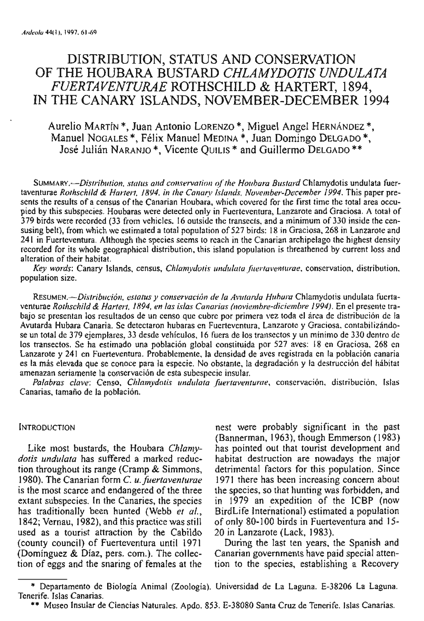# DISTRIBUTION, STATUS AND CONSERVATION OF THE HOUBARA BUSTARD CHLAMYDOTIS UNDULATA FUERTAVENTURAE ROTHSCHILD & HARTERT, 1894, IN THE CANARY ISLANDS, NOVEMBER-DECEMBER 1994

## Aurelio MARTIN<sup>\*</sup>, Juan Antonio LORENZO<sup>\*</sup>, Miguel Angel HERNÁNDEZ<sup>\*</sup>, Manuel NOGALES<sup>\*</sup>, Félix Manuel MEDINA<sup>\*</sup>, Juan Domingo DELGADO<sup>\*</sup>, José Julián NARANJO<sup>\*</sup>, Vicente OUILIS<sup>\*</sup> and Guillermo DELGADO<sup>\*\*</sup>

SUMMARY.--Distribution, status and conservation of the Houbara Bustard Chlamydotis undulata fuertaventurae Rothschild & Hartert, 1894, in the Canary Islands, November-December 1994. This paper presents the results of a census of the Canarian Houbara, which covered for the first time the total area occupied by this subspecies. Houbaras were detected only in Fuerteventura, Lanzarote and Graciosa. A total of 379 birds were recorded (33 from vehicles, 16 outside the transects, and a minimum of 330 inside the censusing belt), from which we estimated a total population of 527 birds: 18 in Graciosa, 268 in Lanzarote and 241 in Fuerteventura. Although the species seems to reach in the Canarian archipelago the highest density recorded for its whole geographical distribution, this island population is threathened by current loss and alteration of their habitat.

Key words: Canary Islands, census, Chlamydotis undulata fuertaventurae, conservation, distribution, population size.

RESUMEN.-- Distribución, estatus y conservación de la Avutarda Hubara Chlamydotis undulata fuertaventurae Rothschild & Hartert, 1894, en las islas Canarias (noviembre-diciembre 1994). En el presente trabajo se presentan los resultados de un censo que cubre por primera vez toda el área de distribución de la Avutarda Hubara Canaria. Se detectaron hubaras en Fuerteventura, Lanzarote y Graciosa, contabilizándose un total de 379 ejemplares, 33 desde vehículos, 16 fuera de los transectos y un minimo de 330 dentro de los transectos. Se ha estimado una población global constituida por 527 aves: 18 en Graciosa, 268 en Lanzarote y 241 en Fuerteventura. Probablemente, la densidad de aves registrada en la población canaria es la más elevada que se conoce para la especie. No obstante, la degradación y la destrucción del hábitat amenazan seriamente la conservación de esta subespecie insular.

Palabras clave: Censo, Chlamydotis undulata fuertaventurae, conservación, distribución, Islas Canarias, tamaño de la población.

## **INTRODUCTION**

Like most bustards, the Houbara Chlamydotis undulata has suffered a marked reduction throughout its range (Cramp & Simmons, 1980). The Canarian form C. u. fuertaventurae is the most scarce and endangered of the three extant subspecies. In the Canaries, the species has traditionally been hunted (Webb et al., 1842; Vernau, 1982), and this practice was still used as a tourist attraction by the Cabildo (county council) of Fuerteventura until 1971 (Dominguez & Diaz, pers. com.). The collection of eggs and the snaring of females at the

nest were probably significant in the past (Bannerman, 1963), though Emmerson (1983) has pointed out that tourist development and habitat destruction are nowadays the major detrimental factors for this population. Since 1971 there has been increasing concern about the species, so that hunting was forbidden, and in 1979 an expedition of the ICBP (now BirdLife International) estimated a population of only 80-100 birds in Fuerteventura and 15-20 in Lanzarote (Lack, 1983).

During the last ten years, the Spanish and Canarian governments have paid special attention to the species, establishing a Recovery

<sup>\*</sup> Departamento de Biología Animal (Zoología). Universidad de La Laguna. E-38206 La Laguna. Tenerife, Islas Canarias.

<sup>\*\*</sup> Museo Insular de Ciencias Naturales. Apdo. 853. E-38080 Santa Cruz de Tenerife. Islas Canarias.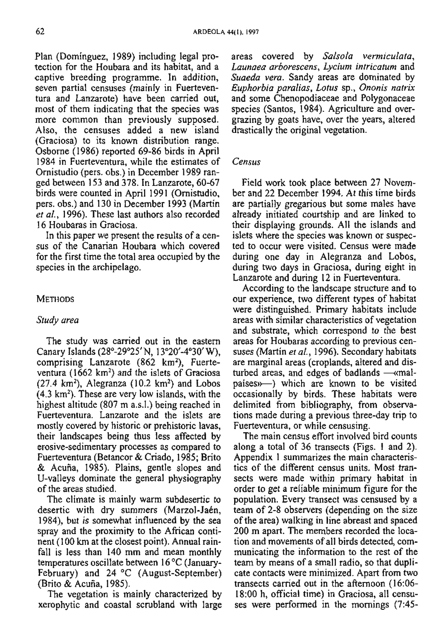Plan (Dominguez, 1989) including legal protection for the Houbara and its habitat, and a captive breeding programme. In addition, seven partial censuses (mainly in Fuerteventura and Lanzarote) have been carried out, most of them indicating that the species was more common than previously supposed. Also, the censuses added a new island (Graciosa) to its known distribution range. Osborne (1986) reported 69-86 birds in April 1984 in Fuerteventura, while the estimates of Ornistudio (pers. obs.) in December 1989 ranged between 153 and 378. In Lanzarote, 60-67 birds were counted in April 1991 (Ornistudio, pers. obs.) and 130 in December 1993 (Martin et al., 1996). These last authors also recorded 16 Houbaras in Graciosa.

In this paper we present the results of a census of the Canarian Houbara which covered for the first time the total area occupied by the species in the archipelago.

## **METHODS**

#### Study area

The study was carried out in the eastern Canary Islands (28°-29°25' N, 13°20'-4°30' W), comprising Lanzarote  $(862 \text{ km}^2)$ , Fuerteventura  $(1662 \text{ km}^2)$  and the islets of Graciosa  $(27.4 \text{ km}^2)$ , Alegranza  $(10.2 \text{ km}^2)$  and Lobos  $(4.3 \text{ km}^2)$ . These are very low islands, with the highest altitude (807 m a.s.l.) being reached in Fuerteventura. Lanzarote and the islets are mostly covered by historic or prehistoric lavas, their landscapes being thus less affected by erosive-sedimentary processes as compared to Fuerteventura (Betancor & Criado, 1985; Brito & Acuña, 1985). Plains, gentle slopes and U-valleys dominate the general physiography of the areas studied.

The climate is mainly warm subdesertic to desertic with dry summers (Marzol-Jaén, 1984), but is somewhat influenced by the sea spray and the proximity to the African continent (100 km at the closest point). Annual rainfall is less than 140 mm and mean monthly temperatures oscillate between  $16^{\circ}$ C (January-February) and 24 °C (August-September) (Brito & Acuña, 1985).

The vegetation is mainly characterized by xerophytic and coastal scrubland with large areas covered by Salsola vermiculata, Launaea arborescens, Lycium intricatum and Suaeda vera. Sandy areas are dominated by Euphorbia paralias, Lotus sp., Ononis natrix and some Chenopodiaceae and Polygonaceae species (Santos, 1984). Agriculture and overgrazing by goats have, over the years, altered drastically the original vegetation.

#### Census

Field work took place between 27 November and 22 December 1994. At this time birds are partially gregarious but some males have already initiated courtship and are linked to their displaying grounds. All the islands and islets where the species was known or suspected to occur were visited. Census were made during one day in Alegranza and Lobos, during two days in Graciosa, during eight in Lanzarote and during 12 in Fuerteventura.

According to the landscape structure and to our experience, two different types of habitat were distinguished. Primary habitats include areas with similar characteristics of vegetation and substrate, which correspond to the best areas for Houbaras according to previous censuses (Martin et al., 1996). Secondary habitats are marginal areas (croplands, altered and disturbed areas, and edges of badlands  $-\kappa$ malpaíses»—) which are known to be visited occasionally by birds. These habitats were delimited from bibliography, from observations made during a previous three-day trip to Fuerteventura, or while censusing.

The main census effort involved bird counts along a total of 36 transects (Figs. 1 and 2). Appendix 1 summarizes the main characteristics of the different census units. Most transects were made within primary habitat in order to get a reliable minimum figure for the population. Every transect was censused by a team of 2-8 observers (depending on the size of the area) walking in line abreast and spaced 200 m apart. The members recorded the location and movements of all birds detected, communicating the information to the rest of the team by means of a small radio, so that duplicate contacts were minimized. Apart from two transects carried out in the afternoon (16:06-18:00 h, official time) in Graciosa, all censuses were performed in the mornings  $(7.45 -$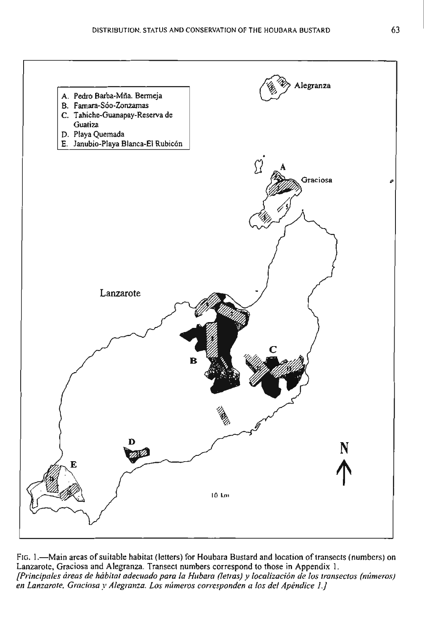

FIG. 1.—Main areas of suitable habitat (letters) for Houbara Bustard and location of transects (numbers) on Lanzarote, Graciosa and Alegranza. Transect numbers correspond to those in Appendix 1. [Principales áreas de hábital adecuado para la Hubara (letras) y localización de los transectos (números) en Lanzarote, Graciosa y Alegranza. Los números corresponden a los del Apéndice 1.]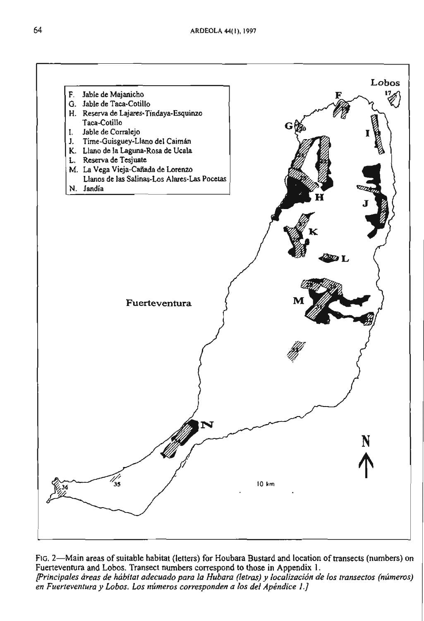

FIG. 2-Main areas of suitable habitat (letters) for Houbara Bustard and location of transects (numbers) on Fuerteventura and Lobos. Transect numbers correspond to those in Appendix 1. [Principales áreas de hábitat adecuado para la Hubara (letras) y localización de los transectos (números) en Fuerteventura y Lobos. Los números corresponden a los del Apéndice 1.]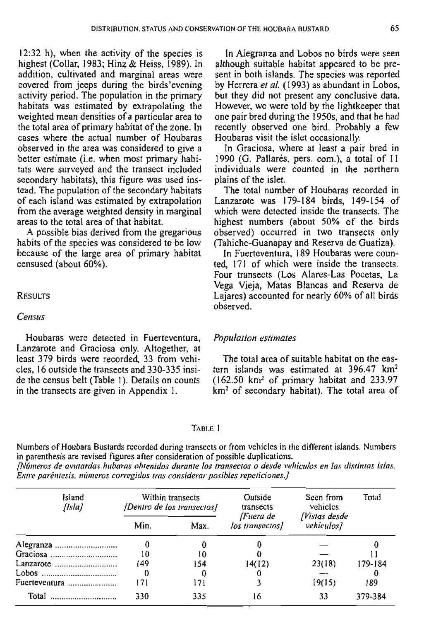12:32 h), when the activity of the species is highest (Collar, 1983; Hinz & Heiss, 1989). In addition, cultivated and marginal areas were covered from jeeps during the birds'evening activity period. The population in the primary habitats was estimated by extrapolating the weighted mean densities of a particular area to the total area of primary habitat of the zone. In cases where the actual number of Houbaras observed in the area was considered to give a better estimate (i.e. when most primary habitats were surveyed and the transect included secondary habitats), this figure was used instead. The population of ihe secondary habitats of each island was estimated by extrapolation from the average weighted density in marginal areas to the total area of that habitat.

A possible bias derived from the gregarious habits of the species was considered to be low because of the large area of primary habitat censused (about 60%).

## RESULTS

## Census

Houbaras were detected in Fuerteventura. Lanzarote and Graciosa only. Altogether, at least 379 birds were recorded 33 from vehicles, 16 outside the transects and 330-335 inside the census belt (Table 1). Details on counts in the transects are given in Appendix 1.

In Alegranza and Lobos no birds were seen although suitable habitat appeared to be present in both islands. The species was reported by Herrera et al. (1993) as abundant in Lobos, but they did not present any conclusive data. However, we were told by the lightkeeper that one pair bred during the 1950s. and that he had recently observed one bird. Probably a few Houbaras visit the islet occasionally.

In Graciosa, where at least a pair bred in 1990 (G. Pallarés, pers. com.), a total of 11 individuals were counted in the northern plains of the islet.

The total number of Houbaras recorded in Lanzarote was 179-184 birds, 149-154 of which were dctected inside the transects. The highest numbers (about 50% of the birds observed) occurred in two transecis only (Tahiche-Guanapay and Reserva de Guatiza).

In Fuerteventura, 189 Houbaras were counted. 171 of which were inside the transects. Four transects (Los Alares-Las Pocetas, La Vega Vieja, Matas Blancas and Reserva de Lajares) accounted for nearly 60% of al1 birds observed.

## **Population estimates**

The total area of suitable habitat on the eastern islands was estimated at  $396.47 \text{ km}^2$  $(162.50 \text{ km}^2 \text{ of primary habitat and } 233.97)$ km<sup>2</sup> of secondary habitat). The total area of

### TABLE 1

Numbers of Houbara Busiards recorded during transects or from vehicles in the different islands. Numbers in parenthesis are revised figures afier consideration of possible duplications.

**~~neros de awtardas hubaras ohienidm durante los transecros o desde veliicu1u.s en lus ~li.~Iintas islas.**  Entre paréntesis, números corregidos tras considerar posibles repeticiones,]

| Island<br>[Isla] | Within transects<br>(Dentro de los transectos) |      | Outside<br>transects         | Seen from<br>vehicles       | Total   |
|------------------|------------------------------------------------|------|------------------------------|-----------------------------|---------|
|                  | Min.                                           | Max. | fFuera de<br>los transectos] | [Vistas desde<br>vehículos] |         |
| Alegranza        |                                                |      |                              |                             |         |
|                  | 10                                             | 10   |                              |                             |         |
| Lanzarote        | 149                                            | 154  | 14(12)                       | 23(18)                      | 179-184 |
| Lobos            |                                                |      |                              |                             |         |
| Fuerteventura    | l 71                                           | 171  |                              | 19(15)                      | 189     |
| Total            | 330                                            | 335  | 16                           | 33                          | 379-384 |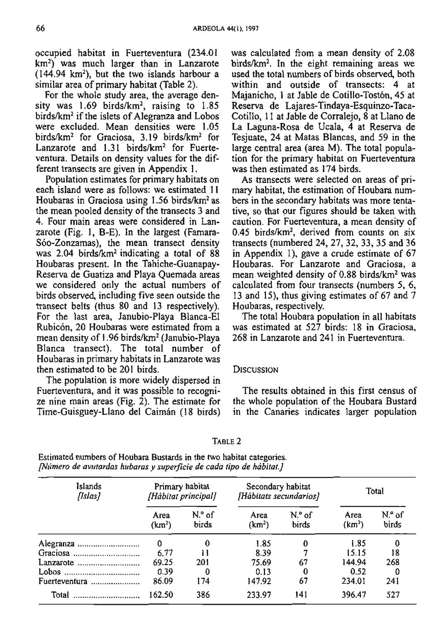occupied habitat in Fuerteventura (234.01 km2) was much larger than in Lanzarote  $(144.94 \text{ km}^2)$ , but the two islands harbour a similar area of primary habitat (Table 2).

For the whole study area, the average density was  $1.69$  birds/km<sup>2</sup>, raising to  $1.85$ birds/km2 if the islets of Alegranza and Lobos were excluded. Mean densities were 1.05 birds/km<sup>2</sup> for Graciosa, 3.19 birds/km<sup>2</sup> for Lanzarote and 1.31 birds/km<sup>2</sup> for Fuerteventura. Details on density values for the different transects are given in Appendix 1.

Population estimates for primary habitats on each island were as follows: we estimated 11 Houbaras in Graciosa using  $1.56$  birds/ $km<sup>2</sup>$  as the mean pooled density of the transects 3 and 4. Four main areas were considered in **Lan**zarote (Fig. 1, B-E). In the largest (Famara-S6o-Zonzamas), the mean transect density was  $2.04$  birds/ $km<sup>2</sup>$  indicating a total of 88 Houbaras present. In the Tahiche-Guanapay-Reserva de Guatiza and Playa Quemada areas we considered only the actual numbers of birds observed, including five seen outside the transect belts (thus 80 and 13 respectively). For the last area, Janubio-Playa Blanca-El Rubicón, 20 Houbaras were estimated from a mean density of 1.96 birds/km2 (Janubio-Playa Blanca transect). The total number of Houbaras in primary habitats in Lanzarote was then estimated to be 201 birds.

The population is more widely dispersed in Fuerteventura, and it was possible to recognize nine main areas (Fig.  $2$ ). The estimate for Time-Guisguey-Llano del Caimán (18 birds)

was calculated from a mean density of 2.08 birds/km2. In the eight remaining areas we used the total numbers of birds observed, both within and outside of transects: 4 at Majanicho, 1 at Jable de Cotillo-Tostón, 45 at Reserva de **Lajares-Tindaya-Esquinzo-Taca-**Cotillo, 11 at Jable de Corralejo, 8 at Llano de La Laguna-Rosa de Ucala, 4 at Reserva de Tesjuate, 24 at Matas Blancas, and 59 in the large central area (area M). The total population for the primary habitat on Fuerteventura was then estimated as 174 birds.

As transects were selected on areas of primary habitat, the estimation of Houbara numbers in the secondary habitats was more tentative, so that our figures should be taken with caution. For Fuerteventura, a mean density of  $0.45$  birds/km<sup>2</sup>, derived from counts on six transects (numbered 24,27, 32,33,35 and 36 in Appendix 1), gave a crude estimate of  $67$ Houbaras. For Lanzarote and Graciosa, a mean weighted density of 0.88 birds/km2 was calculated from four transects (numbers 5, 6, 13 and 15). thus giving estimates of 67 and 7 Houbaras, respectively.

The total Houbara population in al1 habitats was estimated at 527 birds: 18 in Graciosa, 268 in Lanzarote and 241 in Fuerteventura.

#### **DISCUSSION**

The results obtained in this first census of the whole population of the Houbara Bustard in the Cananes indicates larger population

|--|

Estimated numbers of Houbara Bustards in the two habitat categories. **[NUmcm** *de avuram'os hubams y superficie de cada tipo de hábitat.]* 

| Islands<br>[Islas]     | Primary habitat<br>[Hábitat principal] |                 | Secondary habitat<br>[Hábitats secundarios] |                 | Total                      |                  |
|------------------------|----------------------------------------|-----------------|---------------------------------------------|-----------------|----------------------------|------------------|
|                        | Area<br>(km <sup>2</sup> )             | N.º of<br>birds | Area<br>(km <sup>2</sup> )                  | N.º of<br>birds | Area<br>(km <sup>2</sup> ) | $No$ of<br>birds |
|                        | 0                                      |                 | 1.85                                        | $\bf{0}$        | 1.85                       | 0                |
| Graciosa               | 6.77                                   | Ħ               | 8.39                                        |                 | 15.15                      | 18               |
|                        | 69.25                                  | 201             | 75.69                                       | 67              | 144.94                     | 268              |
|                        | 0.39                                   | 0               | 0.13                                        | $\bf{0}$        | 0.52                       |                  |
| Fuerteventura $\ldots$ | 86.09                                  | 174             | 147.92                                      | 67              | 234.01                     | 241              |
| Total                  | 162.50                                 | 386             | 233.97                                      | 141             | 396.47                     | 527              |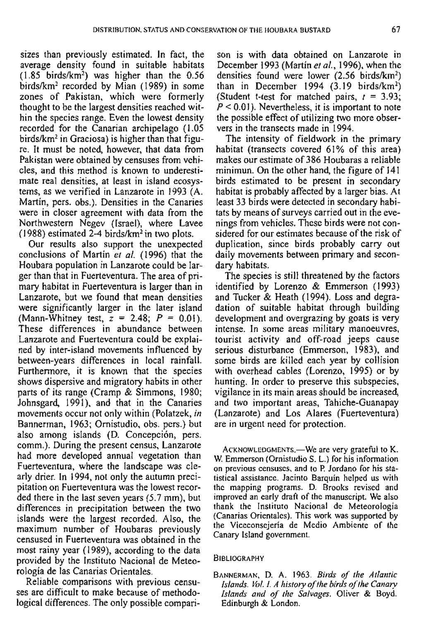sizes than previously estimated. In fact, the average density found in suitable habitats  $(1.85)$  birds/km<sup>2</sup>) was higher than the  $0.56$ birds/km<sup>2</sup> recorded by Mian (1989) in some zones of Pakistan, which were formerly thought to be the largest densities reached within the species range. Even the lowest density recorded for the Canarian archipelago (1.05  $birds/km<sup>2</sup>$  in Graciosa) is higher than that figure. It must be noted, however, that data from Pakistan were obtained by censuses from vehicles, and this method is known to underestimate real densities, at least in island ecosystems, as we verified in Lanzarote in 1993 (A. Martin, pers. obs.). Densities in the Canaries were in closer agreement with data from the Northwestern Negev (Israel), where Lavee  $(1988)$  estimated 2-4 birds/km<sup>2</sup> in two plots.

Our results also support the unexpected conclusions of Martin **er** al. (1996) that the Houbara population in Lanzarote could be larger than that in Fuerteventura. The area of primary habitat in Fuerteventura is larger than in Lanzarote, but we found that mean densities were significantly larger in the later island (Mann-Whitney test,  $z = 2.48$ ;  $P = 0.01$ ). These differences in abundance between Lanzarote and Fuerteventura could be explained by inter-island movements influenced by between-years differences in local rainfall. Furthemore, it is known that the species shows dispersive and migratory habits in other parts of its range (Cramp & Simmons, 1980; Johnsgard, 1991). and that in the Canaries movements occur not only within (Polatzek, **in**  Bannerman, 1963; Ornistudio, obs. pers.) but also among islands (B. Concepción, pers. comm.). During the prescnt census, Lanzarote had more developed annual vegetation than Fuerteventura, where the landscape was clearly drier. In 1994, not only the autumn precipitation on Fuerteventura was the lowest recorded there in the last seven years (5.7 mm), but differences in precipitation between the two islands were the largest recorded. Also, the maximum number of Houbaras previously censused in Fuerteventura was obtained in the most rainy year (1989), according to the data provided by the Instituto Nacional de Meteorología de las Canarias Orientales.

Reliable comparisons with previous censuses are difficult to make because of methodological differences. The only possible compari-

son is with data obtained on Lanzarote in December 1993 (Martín **er** al., 1996). when the densities found were lower  $(2.56 \text{ birds/km}^2)$ than in December 1994  $(3.19 \text{ birds/km}^2)$ (Student t-test for matched pairs,  $r = 3.93$ ;  $P < 0.01$ ). Nevertheless, it is important to note the possible effect of utilizing two more observers in the transects made in 1994.

The intensity of fieldwork in the primary habitat (transects covered 61% of this area) makes our estimate of 386 Houbaras a reliable minimun. On the other hand, the figure of 141 birds estimated to be present in secondary habitat is probably affected by a larger bias. At least 33 birds were detected in secondary habitats by means of surveys carried out in the evenings from vehicles. These birds were not considered for our estimates because of the risk of duplication, since birds probably carry out daily movements between primary and secondary habitats.

The species is still threatened by the factors identified by Lorenzo & Emmerson (1993) and Tucker & Heath (1994). Loss and degradation of suitable habitat through building development and overgrazing by goats is very intense. In some areas military manoeuvres, tourist activity and off-road jeeps cause serious disturbance (Emmerson, 1983). and some birds are killed each year by collision with overhead cables (Lorenzo, 1995) or by hunting. In order to preserve this subspecies, vigilance in its main areas should be increased, and two important areas, Tahiche-Guanapay (Lanzarote) and Los Alares (Fuerteventura) are in urgent need for protection.

ACKNOWLEDGMENTS.-We are very grateful to K. W. Emmerson (Ornistudio S. L.) for his informalion on previous censuses. and to **P.** Jordano for his siatistical assisrance. Jacinto Barquin helped us with thc mapping programs. D. Brooks revised and improved an early **draíi** of the manuscript. We also thank thc Instituto Nacional de Meteorología (Canarias Orientales). This work was supported by the Viccconsejeria de Medio Ambiente of the Canary lsland government.

#### **BIBLIOGRAPHY**

BANNERMAN, D. **A.** 1963. **Birds** *oj'* **ihe Arlanric Islands.** Vol. I. A history of the birds of the Canary Islands and of the Salvages. Oliver & Boyd. Edinburgh & London.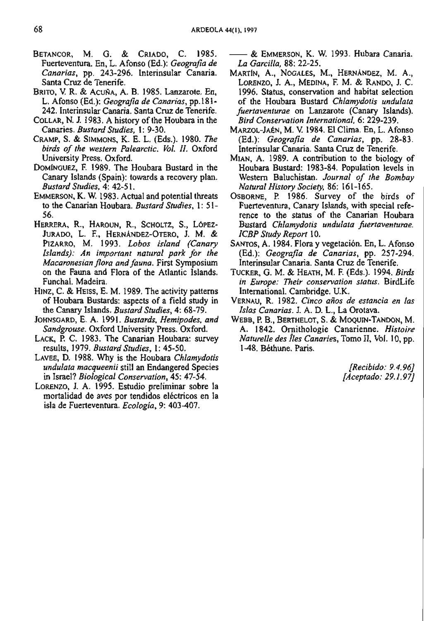- BETANCOR, M. O. & CRIADO, C. 1985. Fuerteventura. En, L. Afonso **(Ed.): Geogmfia de Canarias,** pp. 243-296. lnterinsular Canaria. Santa Cruz de Tenerife.
- BRITO, V. R. & ACUÑA, A. B. 1985. Lanzarote. En, L. Afonso (Ed.): **GeograJa de Canarias,** pp.181- 242. Interinsular Canaria. Santa Cruz de Tenerife.
- COLLAR, N. J. 1983. A history of the Houbara in the Canaries. **Bustard Studies**, 1: 9-30.
- CRAMP, S. & SIMMONS. K. E. L. (Eds.). 1980. **The**  birds of the western Palearctic. Vol. II. Oxford University Press. Oxford.
- DOMINGUEZ, F. 1989. The Houbara Bustard in the Canary lslands (Spain): towards a recovery plan. **Bustard Srudies,** 4: 42-5 1.
- EMMERSON, K. W. 1983. Actual and potential threats to the Canarian Houbara. **Bustard Sludies.** 1: 51- 56.
- HERRERA, R., HAROUN, R., SCHOLTZ, S., LÓPEZ-JURADO, L. F., HERNANDEZ-OTERO, l. M. & PIZARRO, M. 1993. **Lobos island (Canary**  Islands): An important natural park for the Macaronesian flora and fauna. First Symposium on the Fauna and Flora of fhe Atlantic Islands. Funchal. Madeira.
- HINZ, C. & HEISS, E. M. 1989. The activity patterns of Houbara Bustards: aspects of a field study in the Canary Islands. Bustard Studies, 4: 68-79.
- JOHNSGARD, E. A. 1991. **Busrards. Hemipodes. and Sandgmuse.** Oxford University Press. Oxford.
- LACK, P. C. 1983. The Canarian Houbara: survey results, 1979. **BustardStudies,** 1: 45-50.
- LAVEE, D. 1988. **Why** is the Houbara **Chlamydotis undulata macqueenii** still an Endangered Species **in** Israel? **Biological Conservation,** 45: 47-54.
- LORENZO, **J.** A. 1995. Estudio preliminar sobre la mortalidad de aves por tendidos eléctricos en la isla de Fuerteventura. Ecología, 9: 403-407.

- & EMMERSON, K. W. 1993. Hubara Canaria. **LA Garcilla,** 88: 22-25.

- MARTIN, A., NOGALES, M., HERNANDEZ, M. A., LORENZO, J. A,, MEDINA, **F.** M. & RANDO, J. C. 1996. Status, conservation and habitat selection of the Houbara Bustard Chlamydotis undulata fuertaventurae on Lanzarote (Canary Islands). **Bird Conservarion Internafional, 6:** 229-239.
- MAFZOL-JABN, M. **V.** 1984. El Clima. En, L. Afonso (Ed.): **Geogmfia de Canarias,** pp. 28-83. Interinsular Canaria. Santa Cruz de Tenerife.
- MIAN, A. 1989. A contribution to the biology of Houbara Bustard: 1983-84. Population levels in Western Baluchislan. **Journal o/ the Bombay Natuml History Sociely.** 86: 161-165.
- OSBORNE, **P.** 1986. Survey of the birds of Fuerteventura, Canary Islands, with special reference to the status of the Canarian Houbara Bustard **Chlamydotis undulata firertaventume. ICBP** Study Report 10.
- SANTOS, A. 1984. Flora y vegetación. En, L. Afonso (Ed.): **Geografia de Canarias,** pp. 257-294. lnterinsular Canaria. Santa Cruz de Tenenfe.
- TUCKER, G. M. & HEATH, M. F. (Eds.). 1994. *Birds* in Europe: Their conservation status. BirdLife International. Cambridge. U.K.
- VERNAU, R.1982. **Cinco años de estancia en las Islas Canarias. J. A. D.** L., La Orotava.
- WEBB, P. B., BERTHELOT, S. & MOQUIN-TANDON, M. A. 1842. Ornithologie Canarienne. **Hisroire Naturelle des fies Canaries,** Tomo 11, Vol. 10, pp. 148. Béthune. Paris.

**[Recibido: 9.4.961 [Aceptado: 29.1.971**